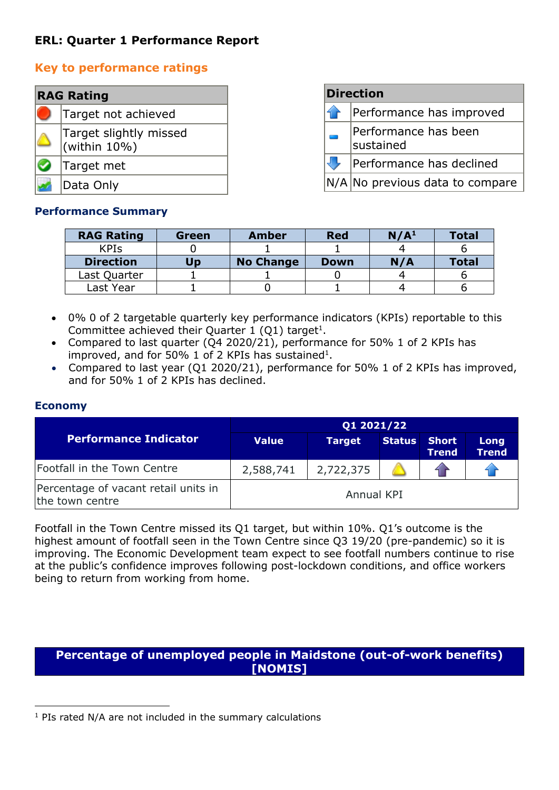# **ERL: Quarter 1 Performance Report**

## **Key to performance ratings**

| <b>RAG Rating</b> |                                            |  |  |  |  |
|-------------------|--------------------------------------------|--|--|--|--|
|                   | Target not achieved                        |  |  |  |  |
|                   | Target slightly missed<br>$ $ (within 10%) |  |  |  |  |
|                   | Target met                                 |  |  |  |  |
|                   | Data Only                                  |  |  |  |  |

| <b>Direction</b>                  |  |  |  |  |  |
|-----------------------------------|--|--|--|--|--|
| Performance has improved          |  |  |  |  |  |
| Performance has been<br>sustained |  |  |  |  |  |
| Performance has declined          |  |  |  |  |  |
| $N/A$ No previous data to compare |  |  |  |  |  |

#### **Performance Summary**

| <b>RAG Rating</b> | Green | <b>Amber</b>     | <b>Red</b>  | N/A <sup>1</sup> | <b>Total</b> |
|-------------------|-------|------------------|-------------|------------------|--------------|
| <b>KPIS</b>       |       |                  |             |                  |              |
| <b>Direction</b>  | Up    | <b>No Change</b> | <b>Down</b> | N/A              | <b>Total</b> |
| Last Quarter      |       |                  |             |                  |              |
| Last Year         |       |                  |             |                  |              |

- 0% 0 of 2 targetable quarterly key performance indicators (KPIs) reportable to this Committee achieved their Quarter 1 (Q1) target<sup>1</sup>.
- Compared to last quarter (Q4 2020/21), performance for 50% 1 of 2 KPIs has improved, and for 50% 1 of 2 KPIs has sustained<sup>1</sup>.
- Compared to last year (Q1 2020/21), performance for 50% 1 of 2 KPIs has improved, and for 50% 1 of 2 KPIs has declined.

#### **Economy**

|                                                         | Q1 2021/22   |               |               |                              |                      |  |
|---------------------------------------------------------|--------------|---------------|---------------|------------------------------|----------------------|--|
| <b>Performance Indicator</b>                            | <b>Value</b> | <b>Target</b> | <b>Status</b> | <b>Short</b><br><b>Trend</b> | Long<br><b>Trend</b> |  |
| Footfall in the Town Centre                             | 2,588,741    | 2,722,375     |               |                              |                      |  |
| Percentage of vacant retail units in<br>the town centre | Annual KPI   |               |               |                              |                      |  |

Footfall in the Town Centre missed its Q1 target, but within 10%. Q1's outcome is the highest amount of footfall seen in the Town Centre since Q3 19/20 (pre-pandemic) so it is improving. The Economic Development team expect to see footfall numbers continue to rise at the public's confidence improves following post-lockdown conditions, and office workers being to return from working from home.

### **Percentage of unemployed people in Maidstone (out-of-work benefits) [NOMIS]**

 $1$  PIs rated N/A are not included in the summary calculations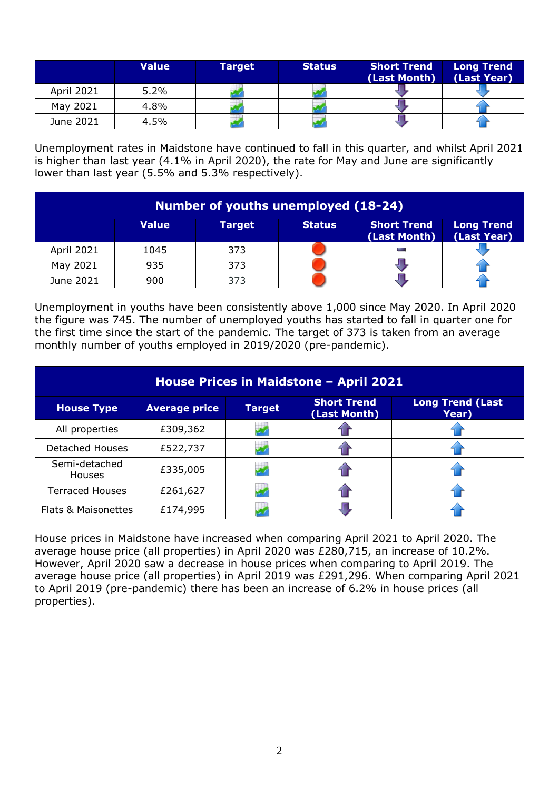|                   | <b>Value</b> | Target <sup>1</sup> | <b>Status</b> | <b>Short Trend</b><br>(Last Month) | <b>Long Trend</b><br>(Last Year) |
|-------------------|--------------|---------------------|---------------|------------------------------------|----------------------------------|
| <b>April 2021</b> | 5.2%         |                     |               |                                    |                                  |
| May 2021          | 4.8%         |                     |               |                                    |                                  |
| June 2021         | 4.5%         |                     |               |                                    |                                  |

Unemployment rates in Maidstone have continued to fall in this quarter, and whilst April 2021 is higher than last year (4.1% in April 2020), the rate for May and June are significantly lower than last year (5.5% and 5.3% respectively).

| Number of youths unemployed (18-24) |              |        |               |                                    |                                  |  |
|-------------------------------------|--------------|--------|---------------|------------------------------------|----------------------------------|--|
|                                     | <b>Value</b> | Target | <b>Status</b> | <b>Short Trend</b><br>(Last Month) | <b>Long Trend</b><br>(Last Year) |  |
| April 2021                          | 1045         | 373    |               |                                    |                                  |  |
| May 2021                            | 935          | 373    |               |                                    |                                  |  |
| June 2021                           | 900          | 373    |               |                                    |                                  |  |

Unemployment in youths have been consistently above 1,000 since May 2020. In April 2020 the figure was 745. The number of unemployed youths has started to fall in quarter one for the first time since the start of the pandemic. The target of 373 is taken from an average monthly number of youths employed in 2019/2020 (pre-pandemic).

| House Prices in Maidstone - April 2021 |                      |               |                                    |                                  |  |  |  |
|----------------------------------------|----------------------|---------------|------------------------------------|----------------------------------|--|--|--|
| <b>House Type</b>                      | <b>Average price</b> | <b>Target</b> | <b>Short Trend</b><br>(Last Month) | <b>Long Trend (Last</b><br>Year) |  |  |  |
| All properties                         | £309,362             |               |                                    |                                  |  |  |  |
| <b>Detached Houses</b>                 | £522,737             |               |                                    |                                  |  |  |  |
| Semi-detached<br>Houses                | £335,005             |               |                                    |                                  |  |  |  |
| <b>Terraced Houses</b>                 | £261,627             |               |                                    |                                  |  |  |  |
| Flats & Maisonettes                    | £174,995             |               |                                    |                                  |  |  |  |

House prices in Maidstone have increased when comparing April 2021 to April 2020. The average house price (all properties) in April 2020 was £280,715, an increase of 10.2%. However, April 2020 saw a decrease in house prices when comparing to April 2019. The average house price (all properties) in April 2019 was £291,296. When comparing April 2021 to April 2019 (pre-pandemic) there has been an increase of 6.2% in house prices (all properties).